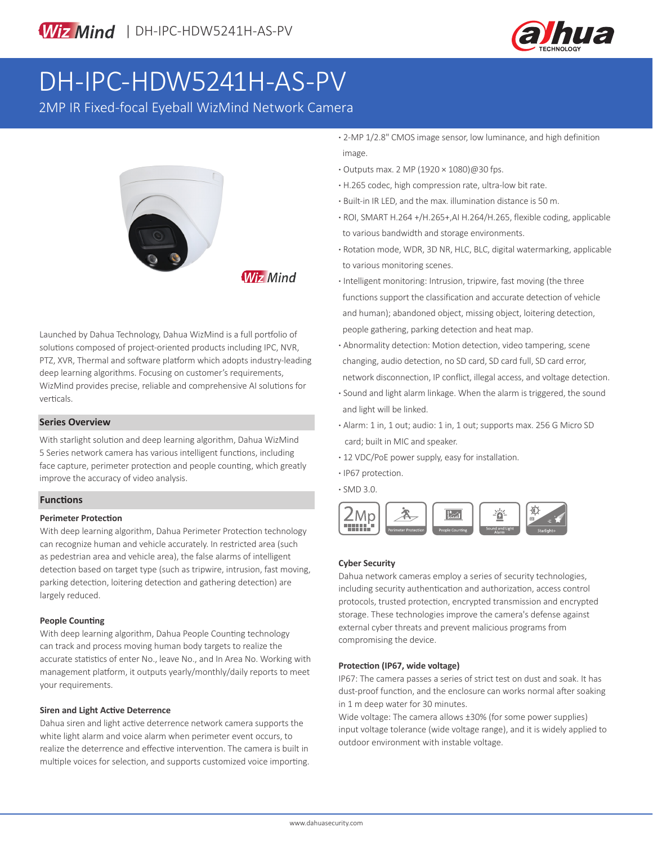

# DH-IPC-HDW5241H-AS-PV

2MP IR Fixed-focal Eyeball WizMind Network Camera



**Wiz Mind** 

Launched by Dahua Technology, Dahua WizMind is a full portfolio of solutions composed of project-oriented products including IPC, NVR, PTZ, XVR, Thermal and software platform which adopts industry-leading deep learning algorithms. Focusing on customer's requirements, WizMind provides precise, reliable and comprehensive AI solutions for verticals.

### **Series Overview**

With starlight solution and deep learning algorithm, Dahua WizMind 5 Series network camera has various intelligent functions, including face capture, perimeter protection and people counting, which greatly improve the accuracy of video analysis.

### **Functions**

### **Perimeter Protection**

With deep learning algorithm, Dahua Perimeter Protection technology can recognize human and vehicle accurately. In restricted area (such as pedestrian area and vehicle area), the false alarms of intelligent detection based on target type (such as tripwire, intrusion, fast moving, parking detection, loitering detection and gathering detection) are largely reduced.

### **People Counting**

With deep learning algorithm, Dahua People Counting technology can track and process moving human body targets to realize the accurate statistics of enter No., leave No., and In Area No. Working with management platform, it outputs yearly/monthly/daily reports to meet your requirements.

### **Siren and Light Active Deterrence**

Dahua siren and light active deterrence network camera supports the white light alarm and voice alarm when perimeter event occurs, to realize the deterrence and effective intervention. The camera is built in multiple voices for selection, and supports customized voice importing.

- **·** 2-MP 1/2.8" CMOS image sensor, low luminance, and high definition image.
- **·** Outputs max. 2 MP (1920 × 1080)@30 fps.
- **·** H.265 codec, high compression rate, ultra-low bit rate.
- **·** Built-in IR LED, and the max. illumination distance is 50 m.
- **·** ROI, SMART H.264 +/H.265+,AI H.264/H.265, flexible coding, applicable to various bandwidth and storage environments.
- **·** Rotation mode, WDR, 3D NR, HLC, BLC, digital watermarking, applicable to various monitoring scenes.
- **·** Intelligent monitoring: Intrusion, tripwire, fast moving (the three functions support the classification and accurate detection of vehicle and human); abandoned object, missing object, loitering detection, people gathering, parking detection and heat map.
- **·** Abnormality detection: Motion detection, video tampering, scene changing, audio detection, no SD card, SD card full, SD card error, network disconnection, IP conflict, illegal access, and voltage detection.
- **·** Sound and light alarm linkage. When the alarm is triggered, the sound and light will be linked.
- **·** Alarm: 1 in, 1 out; audio: 1 in, 1 out; supports max. 256 G Micro SD card; built in MIC and speaker.
- **·** 12 VDC/PoE power supply, easy for installation.
- **·** IP67 protection.
- **·** SMD 3.0.



### **Cyber Security**

Dahua network cameras employ a series of security technologies, including security authentication and authorization, access control protocols, trusted protection, encrypted transmission and encrypted storage. These technologies improve the camera's defense against external cyber threats and prevent malicious programs from compromising the device.

### **Protection (IP67, wide voltage)**

IP67: The camera passes a series of strict test on dust and soak. It has dust-proof function, and the enclosure can works normal after soaking in 1 m deep water for 30 minutes.

Wide voltage: The camera allows ±30% (for some power supplies) input voltage tolerance (wide voltage range), and it is widely applied to outdoor environment with instable voltage.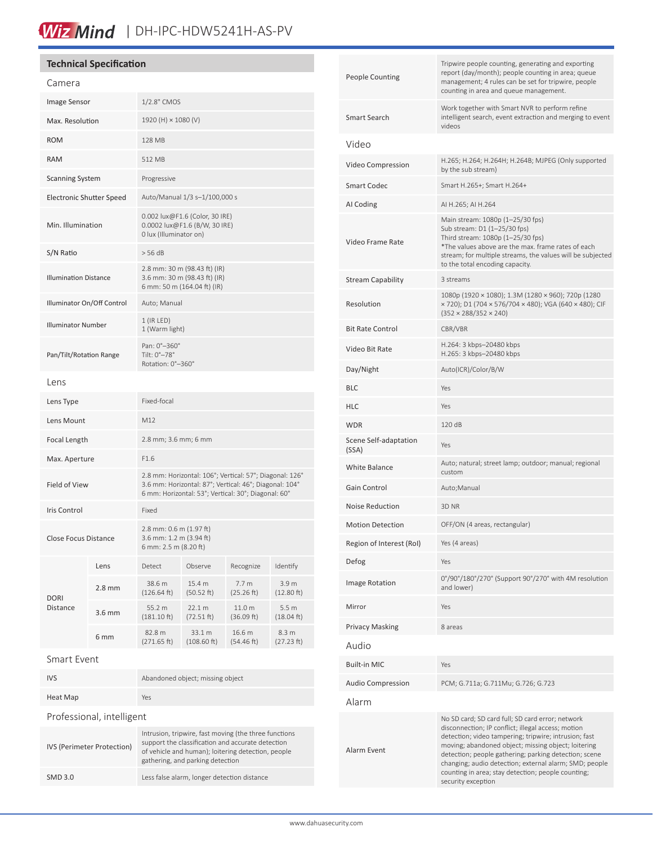# Wiz Mind | DH-IPC-HDW5241H-AS-PV

|                                 | <b>Technical Specification</b> |                                                                                                                                                                          |                       |                                |                                |
|---------------------------------|--------------------------------|--------------------------------------------------------------------------------------------------------------------------------------------------------------------------|-----------------------|--------------------------------|--------------------------------|
| Camera                          |                                |                                                                                                                                                                          |                       |                                |                                |
| Image Sensor                    |                                | 1/2.8" CMOS                                                                                                                                                              |                       |                                |                                |
| Max. Resolution                 |                                | 1920 (H) × 1080 (V)                                                                                                                                                      |                       |                                |                                |
| <b>ROM</b>                      |                                | 128 MB                                                                                                                                                                   |                       |                                |                                |
| <b>RAM</b>                      |                                | 512 MB                                                                                                                                                                   |                       |                                |                                |
| <b>Scanning System</b>          |                                | Progressive                                                                                                                                                              |                       |                                |                                |
| <b>Electronic Shutter Speed</b> |                                | Auto/Manual 1/3 s-1/100,000 s                                                                                                                                            |                       |                                |                                |
| Min. Illumination               |                                | 0.002 lux@F1.6 (Color, 30 IRE)<br>0.0002 lux@F1.6 (B/W, 30 IRE)<br>0 lux (Illuminator on)                                                                                |                       |                                |                                |
| S/N Ratio                       |                                | > 56 dB                                                                                                                                                                  |                       |                                |                                |
| <b>Illumination Distance</b>    |                                | 2.8 mm: 30 m (98.43 ft) (IR)<br>3.6 mm: 30 m (98.43 ft) (IR)<br>6 mm: 50 m (164.04 ft) (IR)                                                                              |                       |                                |                                |
| Illuminator On/Off Control      |                                | Auto; Manual                                                                                                                                                             |                       |                                |                                |
| <b>Illuminator Number</b>       |                                | $1$ (IR LED)<br>1 (Warm light)                                                                                                                                           |                       |                                |                                |
| Pan/Tilt/Rotation Range         |                                | Pan: 0°-360°<br>Tilt: 0°-78°<br>Rotation: 0°-360°                                                                                                                        |                       |                                |                                |
| Lens                            |                                |                                                                                                                                                                          |                       |                                |                                |
| Lens Type                       |                                | Fixed-focal                                                                                                                                                              |                       |                                |                                |
| Lens Mount                      |                                | M12                                                                                                                                                                      |                       |                                |                                |
| <b>Focal Length</b>             |                                | 2.8 mm; 3.6 mm; 6 mm                                                                                                                                                     |                       |                                |                                |
| Max. Aperture                   |                                | F1.6                                                                                                                                                                     |                       |                                |                                |
| <b>Field of View</b>            |                                | 2.8 mm: Horizontal: 106°; Vertical: 57°; Diagonal: 126°<br>3.6 mm: Horizontal: 87°; Vertical: 46°; Diagonal: 104°<br>6 mm: Horizontal: 53°; Vertical: 30°; Diagonal: 60° |                       |                                |                                |
| <b>Iris Control</b>             |                                | Fixed                                                                                                                                                                    |                       |                                |                                |
| <b>Close Focus Distance</b>     |                                | 2.8 mm: 0.6 m (1.97 ft)<br>3.6 mm: 1.2 m (3.94 ft)<br>6 mm: 2.5 m (8.20 ft)                                                                                              |                       |                                |                                |
| <b>DORI</b><br>Distance         | Lens                           | Detect                                                                                                                                                                   | Observe               | Recognize                      | Identify                       |
|                                 | 2.8 <sub>mm</sub>              | 38.6 m<br>(126.64 ft)                                                                                                                                                    | 15.4 m<br>(50.52 ft)  | 7.7 <sub>m</sub><br>(25.26 ft) | 3.9 m<br>(12.80 ft)            |
|                                 | 3.6 mm                         | 55.2 m<br>$(181.10 \text{ ft})$                                                                                                                                          | 22.1 m<br>(72.51 ft)  | 11.0 m<br>(36.09 ft)           | 5.5 m<br>(18.04 ft)            |
|                                 | 6 <sub>mm</sub>                | 82.8 m<br>(271.65 ft)                                                                                                                                                    | 33.1 m<br>(108.60 ft) | 16.6 m<br>(54.46 ft)           | 8.3 <sub>m</sub><br>(27.23 ft) |
| Smart Event                     |                                |                                                                                                                                                                          |                       |                                |                                |
| IVS                             |                                | Abandoned object; missing object                                                                                                                                         |                       |                                |                                |

| People Counting                | Tripwire people counting, generating and exporting<br>report (day/month); people counting in area; queue<br>management; 4 rules can be set for tripwire, people<br>counting in area and queue management.                                                                                                                                                                                                             |  |  |  |  |
|--------------------------------|-----------------------------------------------------------------------------------------------------------------------------------------------------------------------------------------------------------------------------------------------------------------------------------------------------------------------------------------------------------------------------------------------------------------------|--|--|--|--|
| Smart Search                   | Work together with Smart NVR to perform refine<br>intelligent search, event extraction and merging to event<br>videos                                                                                                                                                                                                                                                                                                 |  |  |  |  |
| Video                          |                                                                                                                                                                                                                                                                                                                                                                                                                       |  |  |  |  |
| Video Compression              | H.265; H.264; H.264H; H.264B; MJPEG (Only supported<br>by the sub stream)                                                                                                                                                                                                                                                                                                                                             |  |  |  |  |
| Smart Codec                    | Smart H.265+; Smart H.264+                                                                                                                                                                                                                                                                                                                                                                                            |  |  |  |  |
| AI Coding                      | AI H.265; AI H.264                                                                                                                                                                                                                                                                                                                                                                                                    |  |  |  |  |
| Video Frame Rate               | Main stream: 1080p (1-25/30 fps)<br>Sub stream: D1 (1-25/30 fps)<br>Third stream: 1080p (1-25/30 fps)<br>*The values above are the max. frame rates of each<br>stream; for multiple streams, the values will be subjected<br>to the total encoding capacity.                                                                                                                                                          |  |  |  |  |
| <b>Stream Capability</b>       | 3 streams                                                                                                                                                                                                                                                                                                                                                                                                             |  |  |  |  |
| Resolution                     | 1080p (1920 × 1080); 1.3M (1280 × 960); 720p (1280<br>× 720); D1 (704 × 576/704 × 480); VGA (640 × 480); CIF<br>$(352 \times 288/352 \times 240)$                                                                                                                                                                                                                                                                     |  |  |  |  |
| <b>Bit Rate Control</b>        | CBR/VBR                                                                                                                                                                                                                                                                                                                                                                                                               |  |  |  |  |
| Video Bit Rate                 | H.264: 3 kbps-20480 kbps<br>H.265: 3 kbps-20480 kbps                                                                                                                                                                                                                                                                                                                                                                  |  |  |  |  |
| Day/Night                      | Auto(ICR)/Color/B/W                                                                                                                                                                                                                                                                                                                                                                                                   |  |  |  |  |
| BLC                            | Yes                                                                                                                                                                                                                                                                                                                                                                                                                   |  |  |  |  |
| HLC                            | Yes                                                                                                                                                                                                                                                                                                                                                                                                                   |  |  |  |  |
| WDR                            | 120 dB                                                                                                                                                                                                                                                                                                                                                                                                                |  |  |  |  |
| Scene Self-adaptation<br>(SSA) | Yes                                                                                                                                                                                                                                                                                                                                                                                                                   |  |  |  |  |
| White Balance                  | Auto; natural; street lamp; outdoor; manual; regional<br>custom                                                                                                                                                                                                                                                                                                                                                       |  |  |  |  |
| Gain Control                   | Auto;Manual                                                                                                                                                                                                                                                                                                                                                                                                           |  |  |  |  |
| Noise Reduction                | 3D NR                                                                                                                                                                                                                                                                                                                                                                                                                 |  |  |  |  |
| <b>Motion Detection</b>        | OFF/ON (4 areas, rectangular)                                                                                                                                                                                                                                                                                                                                                                                         |  |  |  |  |
| Region of Interest (RoI)       | Yes (4 areas)                                                                                                                                                                                                                                                                                                                                                                                                         |  |  |  |  |
| Defog                          | Yes                                                                                                                                                                                                                                                                                                                                                                                                                   |  |  |  |  |
| Image Rotation                 | 0°/90°/180°/270° (Support 90°/270° with 4M resolution<br>and lower)                                                                                                                                                                                                                                                                                                                                                   |  |  |  |  |
| Mirror                         | Yes                                                                                                                                                                                                                                                                                                                                                                                                                   |  |  |  |  |
| Privacy Masking                | 8 areas                                                                                                                                                                                                                                                                                                                                                                                                               |  |  |  |  |
| Audio                          |                                                                                                                                                                                                                                                                                                                                                                                                                       |  |  |  |  |
| Built-in MIC                   | Yes                                                                                                                                                                                                                                                                                                                                                                                                                   |  |  |  |  |
| Audio Compression              | PCM; G.711a; G.711Mu; G.726; G.723                                                                                                                                                                                                                                                                                                                                                                                    |  |  |  |  |
| Alarm                          |                                                                                                                                                                                                                                                                                                                                                                                                                       |  |  |  |  |
| Alarm Event                    | No SD card; SD card full; SD card error; network<br>disconnection; IP conflict; illegal access; motion<br>detection; video tampering; tripwire; intrusion; fast<br>moving; abandoned object; missing object; loitering<br>detection; people gathering; parking detection; scene<br>changing; audio detection; external alarm; SMD; people<br>counting in area; stay detection; people counting;<br>security exception |  |  |  |  |
|                                |                                                                                                                                                                                                                                                                                                                                                                                                                       |  |  |  |  |

| Heat Map                   | Yes                                                                                                                                                                                                  |  |  |  |  |
|----------------------------|------------------------------------------------------------------------------------------------------------------------------------------------------------------------------------------------------|--|--|--|--|
| Professional, intelligent  |                                                                                                                                                                                                      |  |  |  |  |
| IVS (Perimeter Protection) | Intrusion, tripwire, fast moving (the three functions<br>support the classification and accurate detection<br>of vehicle and human); loitering detection, people<br>gathering, and parking detection |  |  |  |  |
| SMD 3.0                    | Less false alarm, longer detection distance                                                                                                                                                          |  |  |  |  |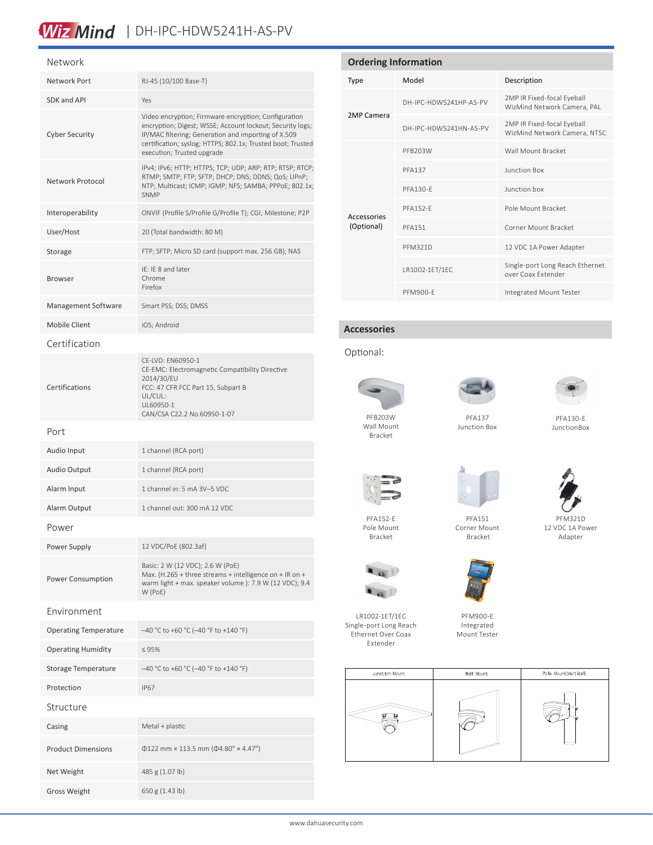# Wiz Mind | DH-IPC-HDW5241H-AS-PV

#### Network

| Network Port                 | RJ-45 (10/100 Base-T)                                                                                                                                                                                                                                                 |  |  |
|------------------------------|-----------------------------------------------------------------------------------------------------------------------------------------------------------------------------------------------------------------------------------------------------------------------|--|--|
| SDK and API                  | Yes                                                                                                                                                                                                                                                                   |  |  |
| <b>Cyber Security</b>        | Video encryption; Firmware encryption; Configuration<br>encryption; Digest; WSSE; Account lockout; Security logs;<br>IP/MAC filtering; Generation and importing of X.509<br>certification; syslog; HTTPS; 802.1x; Trusted boot; Trusted<br>execution; Trusted upgrade |  |  |
| Network Protocol             | IPv4; IPv6; HTTP; HTTPS; TCP; UDP; ARP; RTP; RTSP; RTCP;<br>RTMP; SMTP; FTP; SFTP; DHCP; DNS; DDNS; QoS; UPnP;<br>NTP; Multicast; ICMP; IGMP; NFS; SAMBA; PPPoE; 802.1x;<br><b>SNMP</b>                                                                               |  |  |
| Interoperability             | ONVIF (Profile S/Profile G/Profile T); CGI; Milestone; P2P                                                                                                                                                                                                            |  |  |
| User/Host                    | 20 (Total bandwidth: 80 M)                                                                                                                                                                                                                                            |  |  |
| Storage                      | FTP; SFTP; Micro SD card (support max. 256 GB); NAS                                                                                                                                                                                                                   |  |  |
| <b>Browser</b>               | IE: IE 8 and later<br>Chrome<br>Firefox                                                                                                                                                                                                                               |  |  |
| Management Software          | Smart PSS; DSS; DMSS                                                                                                                                                                                                                                                  |  |  |
| Mobile Client                | iOS; Android                                                                                                                                                                                                                                                          |  |  |
| Certification                |                                                                                                                                                                                                                                                                       |  |  |
| Certifications               | CE-LVD: EN60950-1<br>CE-EMC: Electromagnetic Compatibility Directive<br>2014/30/EU<br>FCC: 47 CFR FCC Part 15, Subpart B<br>UL/CUL:<br>UL60950-1<br>CAN/CSA C22.2 No.60950-1-07                                                                                       |  |  |
| Port                         |                                                                                                                                                                                                                                                                       |  |  |
| Audio Input                  | 1 channel (RCA port)                                                                                                                                                                                                                                                  |  |  |
| <b>Audio Output</b>          | 1 channel (RCA port)                                                                                                                                                                                                                                                  |  |  |
| Alarm Input                  | 1 channel in: 5 mA 3V-5 VDC                                                                                                                                                                                                                                           |  |  |
| Alarm Output                 | 1 channel out: 300 mA 12 VDC                                                                                                                                                                                                                                          |  |  |
| Power                        |                                                                                                                                                                                                                                                                       |  |  |
| Power Supply                 | 12 VDC/PoE (802.3af)                                                                                                                                                                                                                                                  |  |  |
| Power Consumption            | Basic: 2 W (12 VDC); 2.6 W (PoE)<br>Max. (H.265 + three streams + intelligence on + IR on +<br>warm light + max. speaker volume ): 7.9 W (12 VDC); 9.4<br>W (PoE)                                                                                                     |  |  |
| Fnvironment                  |                                                                                                                                                                                                                                                                       |  |  |
| <b>Operating Temperature</b> | $-40$ °C to +60 °C (-40 °F to +140 °F)                                                                                                                                                                                                                                |  |  |
| <b>Operating Humidity</b>    | < 95%                                                                                                                                                                                                                                                                 |  |  |
| <b>Storage Temperature</b>   | -40 °C to +60 °C (-40 °F to +140 °F)                                                                                                                                                                                                                                  |  |  |
| Protection                   | <b>IP67</b>                                                                                                                                                                                                                                                           |  |  |
| Structure                    |                                                                                                                                                                                                                                                                       |  |  |
| Casing                       | Metal + plastic                                                                                                                                                                                                                                                       |  |  |
| <b>Product Dimensions</b>    | $\Phi$ 122 mm × 113.5 mm ( $\Phi$ 4.80" × 4.47")                                                                                                                                                                                                                      |  |  |
| Net Weight                   | 485 g (1.07 lb)                                                                                                                                                                                                                                                       |  |  |
| <b>Gross Weight</b>          | 650 g (1.43 lb)                                                                                                                                                                                                                                                       |  |  |

# **Ordering Information** Type Model Description 2MP Camera DH-IPC-HDW5241HP-AS-PV 2MP IR Fixed-focal Eyeball WizMind Network Camera, PAL DH-IPC-HDW5241HN-AS-PV 2MP IR Fixed-focal Eyeball WizMind Network Camera, NTSC Accessories (Optional) PFB203W Wall Mount Bracket PFA137 Junction Box PFA130-E Junction box PFA152-E POle Mount Bracket PFA151 Corner Mount Bracket PFM321D 12 VDC 1A Power Adapter LR1002-1ET/1EC Single-port Long Reach Ethernet over Coax Extender

### **Accessories**

### Optional:



Bracket

PFA152-E Pole Mount Bracket

LR1002-1ET/1EC Single-port Long Reach Ethernet Over Coax Extender

 $\blacksquare$ 



PFM900-E Integrated Mount Tester



PFA137 Junction Box

PFA130-E JunctionBox

Adapter











Junction Mount Wall Mount Pole Mount(Vertical)

PFM321D 12 VDC 1A Power



PFM900-E Integrated Mount Tester

www.dahuasecurity.com